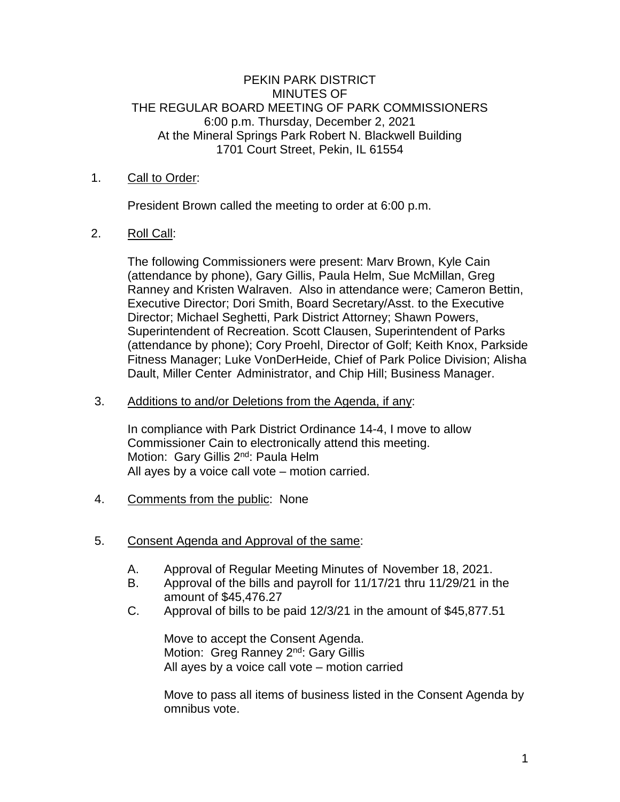### PEKIN PARK DISTRICT MINUTES OF THE REGULAR BOARD MEETING OF PARK COMMISSIONERS 6:00 p.m. Thursday, December 2, 2021 At the Mineral Springs Park Robert N. Blackwell Building 1701 Court Street, Pekin, IL 61554

## 1. Call to Order:

President Brown called the meeting to order at 6:00 p.m.

# 2. Roll Call:

The following Commissioners were present: Marv Brown, Kyle Cain (attendance by phone), Gary Gillis, Paula Helm, Sue McMillan, Greg Ranney and Kristen Walraven. Also in attendance were; Cameron Bettin, Executive Director; Dori Smith, Board Secretary/Asst. to the Executive Director; Michael Seghetti, Park District Attorney; Shawn Powers, Superintendent of Recreation. Scott Clausen, Superintendent of Parks (attendance by phone); Cory Proehl, Director of Golf; Keith Knox, Parkside Fitness Manager; Luke VonDerHeide, Chief of Park Police Division; Alisha Dault, Miller Center Administrator, and Chip Hill; Business Manager.

### 3. Additions to and/or Deletions from the Agenda, if any:

In compliance with Park District Ordinance 14-4, I move to allow Commissioner Cain to electronically attend this meeting. Motion: Gary Gillis 2<sup>nd</sup>: Paula Helm All ayes by a voice call vote – motion carried.

- 4. Comments from the public: None
- 5. Consent Agenda and Approval of the same:
	- A. Approval of Regular Meeting Minutes of November 18, 2021.
	- B. Approval of the bills and payroll for 11/17/21 thru 11/29/21 in the amount of \$45,476.27
	- C. Approval of bills to be paid 12/3/21 in the amount of \$45,877.51

Move to accept the Consent Agenda. Motion: Greg Ranney 2<sup>nd</sup>: Gary Gillis All ayes by a voice call vote – motion carried

Move to pass all items of business listed in the Consent Agenda by omnibus vote.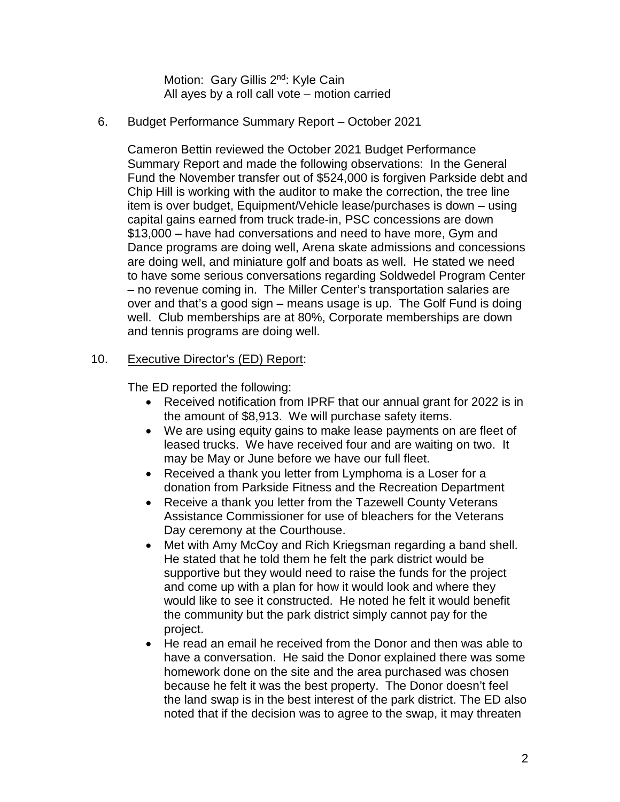Motion: Gary Gillis 2<sup>nd</sup>: Kyle Cain All ayes by a roll call vote – motion carried

## 6. Budget Performance Summary Report – October 2021

Cameron Bettin reviewed the October 2021 Budget Performance Summary Report and made the following observations: In the General Fund the November transfer out of \$524,000 is forgiven Parkside debt and Chip Hill is working with the auditor to make the correction, the tree line item is over budget, Equipment/Vehicle lease/purchases is down – using capital gains earned from truck trade-in, PSC concessions are down \$13,000 – have had conversations and need to have more, Gym and Dance programs are doing well, Arena skate admissions and concessions are doing well, and miniature golf and boats as well. He stated we need to have some serious conversations regarding Soldwedel Program Center – no revenue coming in. The Miller Center's transportation salaries are over and that's a good sign – means usage is up. The Golf Fund is doing well. Club memberships are at 80%, Corporate memberships are down and tennis programs are doing well.

# 10. Executive Director's (ED) Report:

The ED reported the following:

- Received notification from IPRF that our annual grant for 2022 is in the amount of \$8,913. We will purchase safety items.
- We are using equity gains to make lease payments on are fleet of leased trucks. We have received four and are waiting on two. It may be May or June before we have our full fleet.
- Received a thank you letter from Lymphoma is a Loser for a donation from Parkside Fitness and the Recreation Department
- Receive a thank you letter from the Tazewell County Veterans Assistance Commissioner for use of bleachers for the Veterans Day ceremony at the Courthouse.
- Met with Amy McCoy and Rich Kriegsman regarding a band shell. He stated that he told them he felt the park district would be supportive but they would need to raise the funds for the project and come up with a plan for how it would look and where they would like to see it constructed. He noted he felt it would benefit the community but the park district simply cannot pay for the project.
- He read an email he received from the Donor and then was able to have a conversation. He said the Donor explained there was some homework done on the site and the area purchased was chosen because he felt it was the best property. The Donor doesn't feel the land swap is in the best interest of the park district. The ED also noted that if the decision was to agree to the swap, it may threaten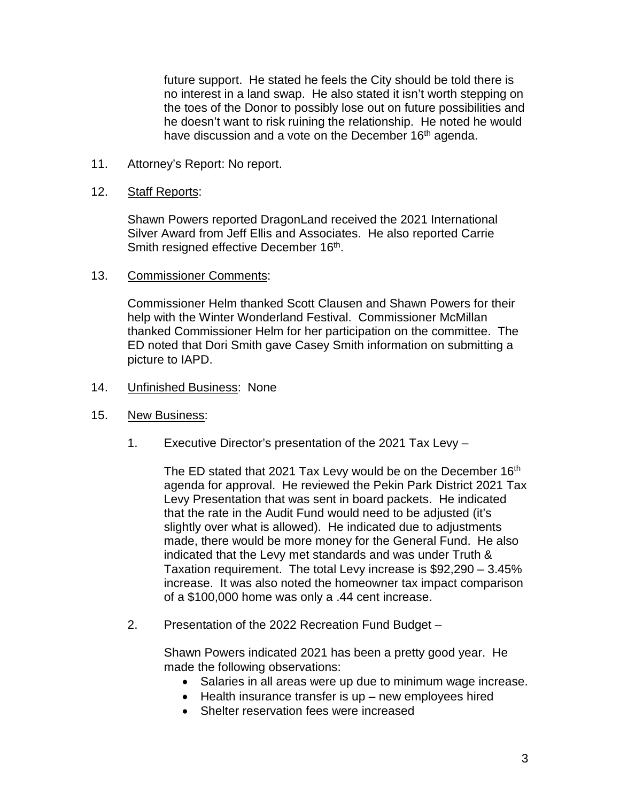future support. He stated he feels the City should be told there is no interest in a land swap. He also stated it isn't worth stepping on the toes of the Donor to possibly lose out on future possibilities and he doesn't want to risk ruining the relationship. He noted he would have discussion and a vote on the December 16<sup>th</sup> agenda.

11. Attorney's Report: No report.

#### 12. Staff Reports:

Shawn Powers reported DragonLand received the 2021 International Silver Award from Jeff Ellis and Associates. He also reported Carrie Smith resigned effective December 16<sup>th</sup>.

#### 13. Commissioner Comments:

Commissioner Helm thanked Scott Clausen and Shawn Powers for their help with the Winter Wonderland Festival. Commissioner McMillan thanked Commissioner Helm for her participation on the committee. The ED noted that Dori Smith gave Casey Smith information on submitting a picture to IAPD.

- 14. Unfinished Business: None
- 15. New Business:
	- 1. Executive Director's presentation of the 2021 Tax Levy –

The ED stated that 2021 Tax Levy would be on the December 16<sup>th</sup> agenda for approval. He reviewed the Pekin Park District 2021 Tax Levy Presentation that was sent in board packets. He indicated that the rate in the Audit Fund would need to be adjusted (it's slightly over what is allowed). He indicated due to adjustments made, there would be more money for the General Fund. He also indicated that the Levy met standards and was under Truth & Taxation requirement. The total Levy increase is \$92,290 – 3.45% increase. It was also noted the homeowner tax impact comparison of a \$100,000 home was only a .44 cent increase.

2. Presentation of the 2022 Recreation Fund Budget –

Shawn Powers indicated 2021 has been a pretty good year. He made the following observations:

- Salaries in all areas were up due to minimum wage increase.
- Health insurance transfer is up new employees hired
- Shelter reservation fees were increased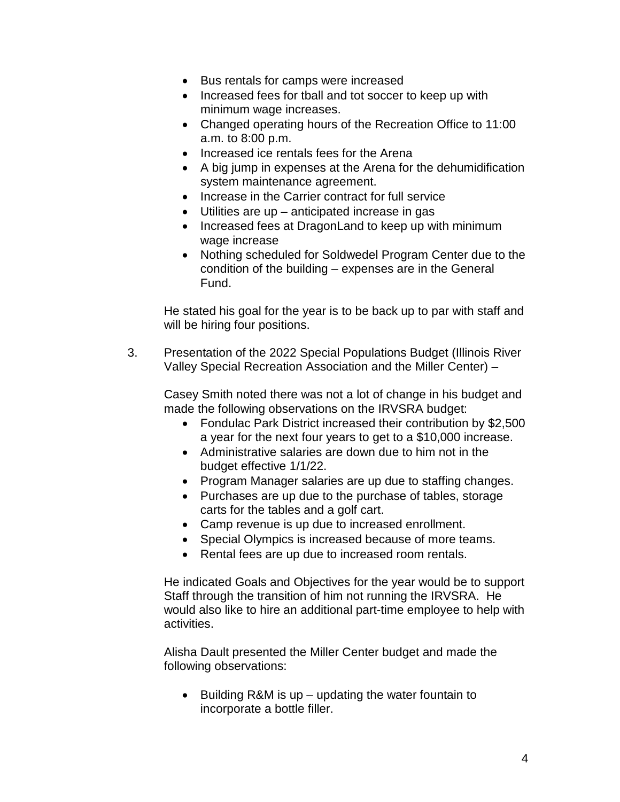- Bus rentals for camps were increased
- Increased fees for tball and tot soccer to keep up with minimum wage increases.
- Changed operating hours of the Recreation Office to 11:00 a.m. to 8:00 p.m.
- Increased ice rentals fees for the Arena
- A big jump in expenses at the Arena for the dehumidification system maintenance agreement.
- Increase in the Carrier contract for full service
- Utilities are up anticipated increase in gas
- Increased fees at DragonLand to keep up with minimum wage increase
- Nothing scheduled for Soldwedel Program Center due to the condition of the building – expenses are in the General Fund.

He stated his goal for the year is to be back up to par with staff and will be hiring four positions.

3. Presentation of the 2022 Special Populations Budget (Illinois River Valley Special Recreation Association and the Miller Center) –

Casey Smith noted there was not a lot of change in his budget and made the following observations on the IRVSRA budget:

- Fondulac Park District increased their contribution by \$2,500 a year for the next four years to get to a \$10,000 increase.
- Administrative salaries are down due to him not in the budget effective 1/1/22.
- Program Manager salaries are up due to staffing changes.
- Purchases are up due to the purchase of tables, storage carts for the tables and a golf cart.
- Camp revenue is up due to increased enrollment.
- Special Olympics is increased because of more teams.
- Rental fees are up due to increased room rentals.

He indicated Goals and Objectives for the year would be to support Staff through the transition of him not running the IRVSRA. He would also like to hire an additional part-time employee to help with activities.

Alisha Dault presented the Miller Center budget and made the following observations:

• Building R&M is up – updating the water fountain to incorporate a bottle filler.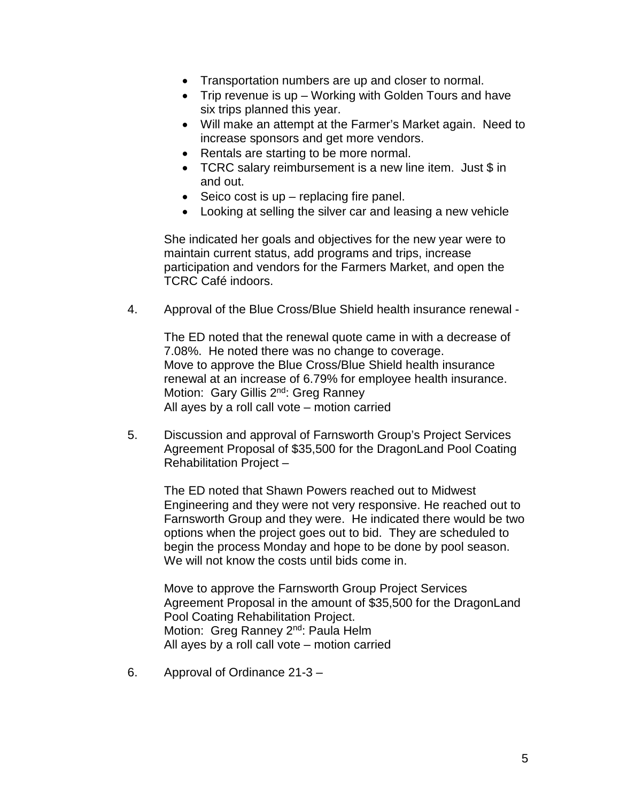- Transportation numbers are up and closer to normal.
- Trip revenue is up Working with Golden Tours and have six trips planned this year.
- Will make an attempt at the Farmer's Market again. Need to increase sponsors and get more vendors.
- Rentals are starting to be more normal.
- TCRC salary reimbursement is a new line item. Just \$ in and out.
- Seico cost is up replacing fire panel.
- Looking at selling the silver car and leasing a new vehicle

She indicated her goals and objectives for the new year were to maintain current status, add programs and trips, increase participation and vendors for the Farmers Market, and open the TCRC Café indoors.

4. Approval of the Blue Cross/Blue Shield health insurance renewal -

The ED noted that the renewal quote came in with a decrease of 7.08%. He noted there was no change to coverage. Move to approve the Blue Cross/Blue Shield health insurance renewal at an increase of 6.79% for employee health insurance. Motion: Gary Gillis 2<sup>nd</sup>: Greg Ranney All ayes by a roll call vote – motion carried

5. Discussion and approval of Farnsworth Group's Project Services Agreement Proposal of \$35,500 for the DragonLand Pool Coating Rehabilitation Project –

The ED noted that Shawn Powers reached out to Midwest Engineering and they were not very responsive. He reached out to Farnsworth Group and they were. He indicated there would be two options when the project goes out to bid. They are scheduled to begin the process Monday and hope to be done by pool season. We will not know the costs until bids come in.

Move to approve the Farnsworth Group Project Services Agreement Proposal in the amount of \$35,500 for the DragonLand Pool Coating Rehabilitation Project. Motion: Greg Ranney 2<sup>nd</sup>: Paula Helm All ayes by a roll call vote – motion carried

6. Approval of Ordinance 21-3 –